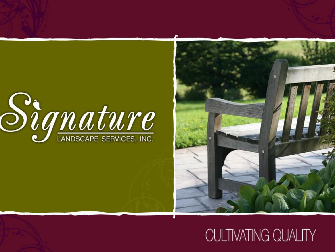

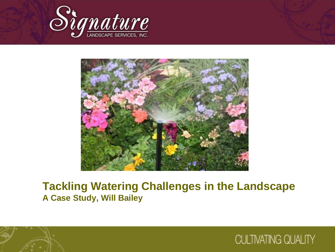



### **Tackling Watering Challenges in the Landscape A Case Study, Will Bailey**



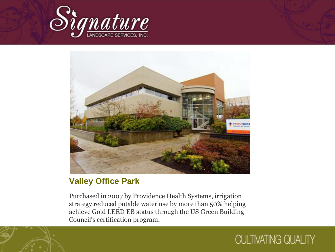



### **Valley Office Park**

Purchased in 2007 by Providence Health Systems, irrigation strategy reduced potable water use by more than 50% helping achieve Gold LEED EB status through the US Green Building Council's certification program.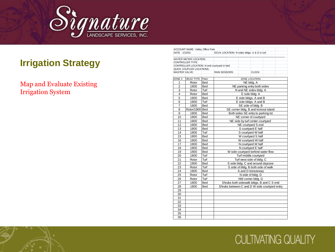

#### Map and Evaluate Existing Irrigation System

|                      | ACCOUNT NAME: Valley Office Park |            |                                             |                                     |                                               |  |  |  |  |
|----------------------|----------------------------------|------------|---------------------------------------------|-------------------------------------|-----------------------------------------------|--|--|--|--|
| DATE: 1/22/01        |                                  |            | DCVA LOCATION: N sides bldgs. A & D in turf |                                     |                                               |  |  |  |  |
|                      | WATER METER LOCATION:            |            |                                             |                                     |                                               |  |  |  |  |
|                      | CONTROLLER TYPE:                 |            |                                             |                                     |                                               |  |  |  |  |
|                      |                                  |            | CONTROLLER LOCATION: N end courtyard in bed |                                     |                                               |  |  |  |  |
|                      | QUICK COUPLER LOCATIONS:         |            |                                             |                                     |                                               |  |  |  |  |
| <b>MASTER VALVE:</b> |                                  |            | <b>RAIN SENSORS:</b>                        | CLOCK:                              |                                               |  |  |  |  |
| ZONE $#$             | HEAD TYPE                        | Plant      |                                             | ZONE LOCATION                       |                                               |  |  |  |  |
| 1                    | Rotor                            | Bed        |                                             | NE bldg. A                          |                                               |  |  |  |  |
| $\overline{2}$       | 1800                             | <b>Bed</b> |                                             | NE parking entry both sides         |                                               |  |  |  |  |
| 3                    | Rotor                            | Turf       |                                             | N and NE sides bldg. A              |                                               |  |  |  |  |
| 4                    | Rotor                            | Bed        |                                             | E side bldg. A                      |                                               |  |  |  |  |
| 5                    | 1800                             | <b>Bed</b> |                                             | E side bldgs. A and B               |                                               |  |  |  |  |
| 6                    | 1800                             | Turf       |                                             | E side bldgs. A and B               |                                               |  |  |  |  |
| $\overline{7}$       | 1800                             | Bed        |                                             | SE side of bldg. B                  |                                               |  |  |  |  |
| 8                    | Rotor/1800 Bed                   |            |                                             |                                     | SE corner bldg. B and kickout island          |  |  |  |  |
| 9                    | 1800                             | Bed        |                                             | Both sides SE entry to parking lot  |                                               |  |  |  |  |
| 10                   | 1800                             | Bed        |                                             | NE corner of courtyard              |                                               |  |  |  |  |
| 11                   | 1800                             | Bed        | NE side by turf center courtyard            |                                     |                                               |  |  |  |  |
| 12                   | 1800                             | Bed        | NE courtyard S end                          |                                     |                                               |  |  |  |  |
| 13                   | 1800                             | Bed        | S courtyard E half                          |                                     |                                               |  |  |  |  |
| 14                   | 1800                             | Turf       | S courtyard W half                          |                                     |                                               |  |  |  |  |
| 15                   | 1800                             | <b>Bed</b> | W courtyard S half                          |                                     |                                               |  |  |  |  |
| 16                   | 1800                             | Bed        |                                             | W courtyard W half                  |                                               |  |  |  |  |
| 17                   | 1800                             | Bed        |                                             | N courtyard W half                  |                                               |  |  |  |  |
| 18                   | 1800                             | <b>Bed</b> |                                             | N courtyard E half                  |                                               |  |  |  |  |
| 19                   | 1800                             | Bed        |                                             | W side courtyard behind water flow  |                                               |  |  |  |  |
| 20                   | 1800                             | Turf       |                                             | Turf middle courtyard               |                                               |  |  |  |  |
| 21                   | Rotor                            | Turf       |                                             | Turf west side of bldg. C           |                                               |  |  |  |  |
| 22                   | 1800                             | <b>Bed</b> |                                             | S side bldg. C and around daycare   |                                               |  |  |  |  |
| 23                   | Rotor                            | Turf       |                                             | S side of bldg. B both side of walk |                                               |  |  |  |  |
| 24                   | 1800                             | Bed        |                                             | A and D breezeway                   |                                               |  |  |  |  |
| 25                   | Rotor                            | Turf       |                                             | N side of bldg. D                   |                                               |  |  |  |  |
| 26                   | Rotor                            | Turf       |                                             | NW corner bldg. D                   |                                               |  |  |  |  |
| 27                   | 1800                             | Bed        |                                             |                                     | Shrubs both sidewalk bldgs. B and C S end     |  |  |  |  |
| 28                   | 1800                             | Bed        |                                             |                                     | Shrubs between C and D W side courtyard entry |  |  |  |  |
| 29                   |                                  |            |                                             |                                     |                                               |  |  |  |  |
| 30                   |                                  |            |                                             |                                     |                                               |  |  |  |  |
| 31                   |                                  |            |                                             |                                     |                                               |  |  |  |  |
| 32                   |                                  |            |                                             |                                     |                                               |  |  |  |  |
| 33                   |                                  |            |                                             |                                     |                                               |  |  |  |  |
| 34                   |                                  |            |                                             |                                     |                                               |  |  |  |  |
| 35                   |                                  |            |                                             |                                     |                                               |  |  |  |  |
| 36                   |                                  |            |                                             |                                     |                                               |  |  |  |  |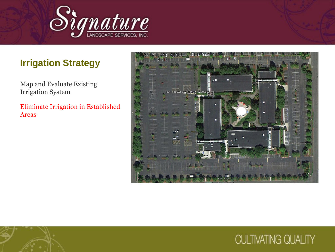

Map and Evaluate Existing Irrigation System

Eliminate Irrigation in Established Areas

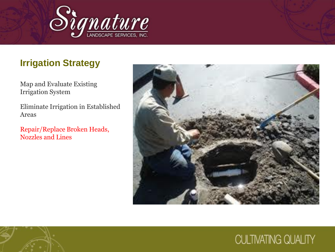

Map and Evaluate Existing Irrigation System

Eliminate Irrigation in Established Areas

Repair/Replace Broken Heads, Nozzles and Lines

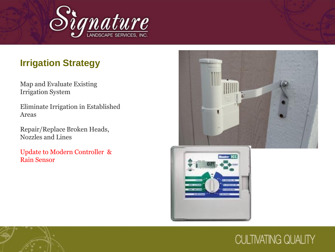

Map and Evaluate Existing Irrigation System

Eliminate Irrigation in Established Areas

Repair/Replace Broken Heads, Nozzles and Lines

Update to Modern Controller & Rain Sensor



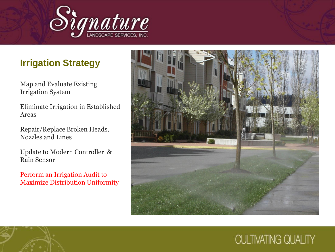

Map and Evaluate Existing Irrigation System

Eliminate Irrigation in Established Areas

Repair/Replace Broken Heads, Nozzles and Lines

Update to Modern Controller & Rain Sensor

Perform an Irrigation Audit to Maximize Distribution Uniformity

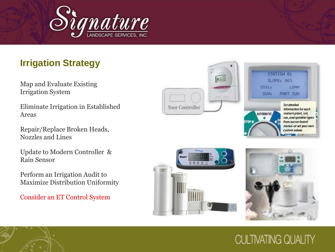

Map and Evaluate Existing Irrigation System

Eliminate Irrigation in Established Areas

Repair/Replace Broken Heads, Nozzles and Lines

Update to Modern Controller & Rain Sensor

Perform an Irrigation Audit to Maximize Distribution Uniformity

Consider an ET Control System





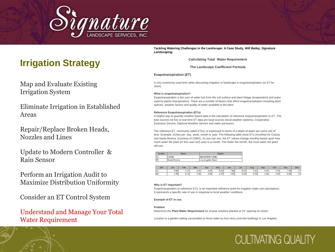

Map and Evaluate Existing Irrigation System

Eliminate Irrigation in Established Areas

Repair/Replace Broken Heads, Nozzles and Lines

Update to Modern Controller & Rain Sensor

Perform an Irrigation Audit to Maximize Distribution Uniformity

Consider an ET Control System

# Understand and Manage Your Total

*Landscaping*

**Calculating Total Water Requirement**

**The Landscape Coefficient Formula**

#### **Evapotranspiration (ET)**

A very commonly used term when discussing irrigation or landscape is evapotranspiration (or ET for short).

#### **What is evapotranspiration?**

Evapotranspiration is the sum of water lost from the soil surface and plant foliage (evaporation) and water used by plants (transpiration). There are a number of factors that affect evapotranspiration including plant species, weather factors and quality of water available to the plant.

#### **Reference Evapotranspiration (ETo)**

A helpful way to quantify weather based data is the calculation of reference evapotranspiration or ET. The best sources for live or real-time ET data are local sources (local weather stations), Cooperative Extension Service, National Weather Service and water purveyors.

 $\begin{array}{ll}\n\textbf{Prigation Structure} & \textbf{First} & \textbf{First} & \textbf{First} & \textbf{First} & \textbf{First} & \textbf{First} & \textbf{First} & \textbf{First} & \textbf{First} & \textbf{First} & \textbf{First} & \textbf{First} & \textbf{First} & \textbf{First} & \textbf{First} & \textbf{First} & \textbf{First} & \textbf{First} & \textbf{First} & \textbf{First} & \textbf{First} & \textbf{First} & \textbf{First} & \textbf{First} & \textbf{First} & \textbf{First} & \textbf{First} & \textbf{First} & \textbf{First}$ The reference ET, commonly called ET(o), is expressed in terms of a depth of water per some unit of time. Example: inches per: day, week, month or year. The following table show ETo (monthly) for Colusa and Santa Monica. (courtesy of CIMIS). As you can see, the ET values change monthly based upon how much water the plant (in this case turf) uses in a month. The hotter the month, the more water the plant will use.

| Number | Name         | Region            |  |
|--------|--------------|-------------------|--|
| 32     | Colusa       | Sacramento Valley |  |
| lgg    | Santa Monica | Los Angeles Basin |  |

| Stn | Jan  | Feb  | Mar  | Apr  | May  | Jun  | Jul  | Aug  | Sep  | Oct  | Nov  | Dec  |
|-----|------|------|------|------|------|------|------|------|------|------|------|------|
| 32  | 0.95 | 1.73 | 3.42 | 5.03 | 6.43 | 7.62 | 8.34 | 7.23 | 5.35 | 3.78 | 1.79 | 1.01 |
| 99  | .79  | 2.12 | 3.30 | 4.49 | 4.73 | 5.03 | 5.40 | 5.38 | 3.94 | 3.40 | 2.42 | 2.2  |

**CULTIVATING QUALITY** 

#### **Why is ET important?**

Evapotranspiration or reference ETo, is an important reference point for irrigation water use calculations. It represents a specific rate of use in response to local weather conditions.

**Example of ET in use.**

#### **Problem**

Determine the **Plant Water Requirement** for Acacia redolens planted at 15" spacing on center.

Location is a garden setting surrounded on three sides by four story concrete buildings in Los Angeles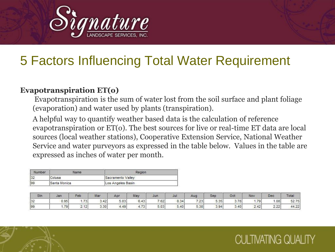

### **Evapotranspiration ET(o)**

Evapotranspiration is the sum of water lost from the soil surface and plant foliage (evaporation) and water used by plants (transpiration).

A helpful way to quantify weather based data is the calculation of reference evapotranspiration or ET(o). The best sources for live or real-time ET data are local sources (local weather stations), Cooperative Extension Service, National Weather Service and water purveyors as expressed in the table below. Values in the table are expressed as inches of water per month.

| Number | Name         | Region            |  |
|--------|--------------|-------------------|--|
| 32     | Colusa       | Sacramento Valley |  |
| 99     | Santa Monica | Los Angeles Basin |  |

| Stn. | Jan  | Feb  | Mar  | Apr  | May  | Jun  | Jul  | Aug  | Sep  | Oct  | Nov  | <b>Dec</b> | <b>Total</b> |
|------|------|------|------|------|------|------|------|------|------|------|------|------------|--------------|
| 32   | 0.95 | 1.73 | 3.42 | 5.03 | 6.43 | 7.62 | 8.34 | 7.23 | 5.35 | 3.78 | 1.79 | .08        | 52.75        |
| 99   | .79  | 2.12 | 3.30 | 4.49 | 4.73 | 5.03 | 5.40 | 5.38 | 3.94 | 3.40 | 2.42 | 2.22       | 44.22        |

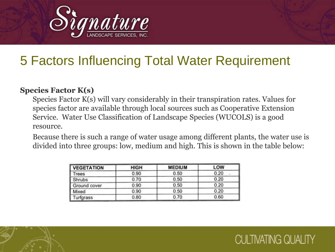

### **Species Factor K(s)**

Species Factor K(s) will vary considerably in their transpiration rates. Values for species factor are available through local sources such as Cooperative Extension Service. Water Use Classification of Landscape Species (WUCOLS) is a good resource.

 Because there is such a range of water usage among different plants, the water use is divided into three groups: low, medium and high. This is shown in the table below:

| <b>VEGETATION</b> | <b>HIGH</b> | <b>MEDIUM</b> | LOW  |  |  |
|-------------------|-------------|---------------|------|--|--|
| Trees             | 0.90        | 0.50          | 0.20 |  |  |
| Shrubs            | 0.70        | 0.50          | 0.20 |  |  |
| Ground cover      | 0.90        | 0.50          | 0.20 |  |  |
| Mixed             | 0.90        | 0.50          | 0.20 |  |  |
| Turfgrass         | 0.80        | 0.70          | 0.60 |  |  |

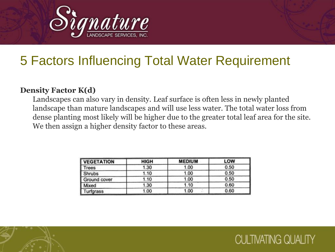

#### **Density Factor K(d)**

Landscapes can also vary in density. Leaf surface is often less in newly planted landscape than mature landscapes and will use less water. The total water loss from dense planting most likely will be higher due to the greater total leaf area for the site. We then assign a higher density factor to these areas.

| <b>VEGETATION</b> | <b>HIGH</b> | <b>MEDIUM</b> | <b>LOW</b> |
|-------------------|-------------|---------------|------------|
| <b>Trees</b>      | 1.30        | 1.00          | 0.50       |
| <b>Shrubs</b>     | 1.10        | 1.00          | 0.50       |
| Ground cover      | 1.10        | 1.00          | 0.50       |
| <b>Mixed</b>      | 1.30        | 1.10          | 0.60       |
| Turfgrass         | 1.00        | 1.00          | 0.60       |

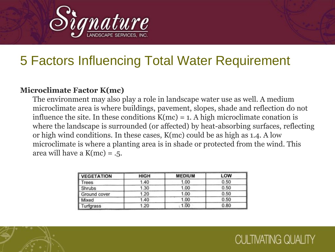

#### **Microclimate Factor K(mc)**

The environment may also play a role in landscape water use as well. A medium microclimate area is where buildings, pavement, slopes, shade and reflection do not influence the site. In these conditions  $K(mc) = 1$ . A high microclimate conation is where the landscape is surrounded (or affected) by heat-absorbing surfaces, reflecting or high wind conditions. In these cases, K(mc) could be as high as 1.4. A low microclimate is where a planting area is in shade or protected from the wind. This area will have a  $K(mc) = .5$ .

| <b>VEGETATION</b> | <b>HIGH</b> | <b>MEDIUM</b> | LOW  |
|-------------------|-------------|---------------|------|
| Trees             | 1.40        | 1.00          | 0.50 |
| <b>Shrubs</b>     | 1.30        | 1.00          | 0.50 |
| Ground cover      | 1.20        | 1.00          | 0.50 |
| Mixed             | 1.40        | 1.00          | 0.50 |
| Turfgrass         | 1.20        | 1.00          | 0.80 |

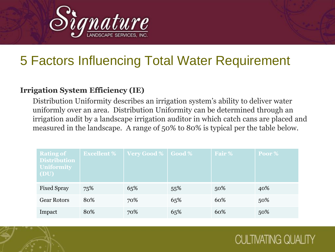

#### **Irrigation System Efficiency (IE)**

Distribution Uniformity describes an irrigation system's ability to deliver water uniformly over an area. Distribution Uniformity can be determined through an irrigation audit by a landscape irrigation auditor in which catch cans are placed and measured in the landscape. A range of 50% to 80% is typical per the table below.

| <b>Rating of</b><br><b>Distribution</b><br><b>Uniformity</b><br><b>(DU)</b> | <b>Excellent %</b> | Very Good %   Good % |     | Fair % | Poor % |
|-----------------------------------------------------------------------------|--------------------|----------------------|-----|--------|--------|
| <b>Fixed Spray</b>                                                          | 75%                | 65%                  | 55% | 50%    | 40%    |
| <b>Gear Rotors</b>                                                          | 80%                | 70%                  | 65% | 60%    | 50%    |
| Impact                                                                      | 80%                | 70%                  | 65% | 60%    | 50%    |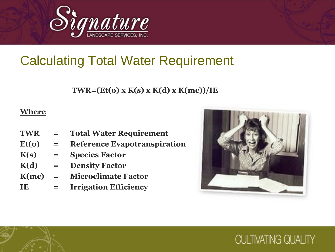

 **TWR=(Et(o) x K(s) x K(d) x K(mc))/IE** 

#### **Where**

- **TWR = Total Water Requirement Et(o) = Reference Evapotranspiration K(s) = Species Factor K(d) = Density Factor**
- **K(mc) = Microclimate Factor**
- **IE = Irrigation Efficiency**

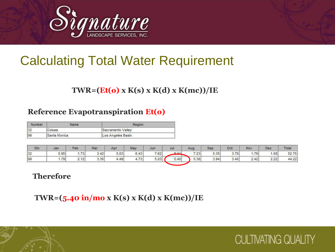

### **TWR=(Et(o) x K(s) x K(d) x K(mc))/IE**

### **Reference Evapotranspiration Et(o)**

| Number | Name         | Region            |  |
|--------|--------------|-------------------|--|
| 32     | Colusa       | Sacramento Valley |  |
| 99     | Santa Monica | Los Angeles Basin |  |

| Stn | Jan  | Feb  | Mar  | Apr  | May       | Jun  | Jul  | Aug  | Sep  | Oct  | Nov                       | Dec  | Total |
|-----|------|------|------|------|-----------|------|------|------|------|------|---------------------------|------|-------|
| 32  | 0.95 | .73  | 3.42 | 5.03 | 6.43      | 7.62 | 9.2A | 7.23 | 5.35 | 3.78 | .79                       | .08  | 52.75 |
| 199 | .79  | 2.12 | 3.30 | 4.49 | 4.72<br>. | 5.03 | 5.40 | 5.38 | 3.94 | 3.40 | $\sim$<br>42'<br><u>.</u> | 2.22 | 44.22 |

**CULTIVATING QUALITY** 

#### **Therefore**

**TWR=(5.40 in/mo x K(s) x K(d) x K(mc))/IE**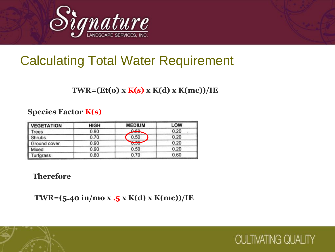

### **TWR=(Et(o) x K(s) x K(d) x K(mc))/IE**

### **Species Factor K(s)**

| <b>VEGETATION</b> | HIGH | <b>MEDIUM</b>  | LOW  |
|-------------------|------|----------------|------|
| Trees             | 0.90 | 0.50<br>$-100$ | 0.20 |
| <b>Shrubs</b>     | 0.70 | 0.50           | 0.20 |
| Ground cover      | 0.90 | $ -$<br>U.JU   | 0.20 |
| Mixed             | 0.90 | 0.50           | 0.20 |
| Turfgrass         | 0.80 | 0.70           | 0.60 |

#### **Therefore**

**TWR=(5.40 in/mo x .5 x K(d) x K(mc))/IE**

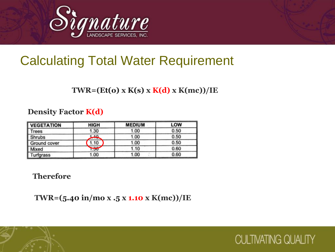

### **TWR=(Et(o) x K(s) x K(d) x K(mc))/IE**

#### **Density Factor K(d)**

| <b>VEGETATION</b> | <b>HIGH</b>           | <b>MEDIUM</b> | <b>LOW</b> |  |
|-------------------|-----------------------|---------------|------------|--|
| Trees             | 1.30                  | 1.00          | 0.50       |  |
| <b>Shrubs</b>     | 1.40<br><b>TIME</b>   | 1.00          | 0.50       |  |
| Ground cover      | 1.10                  | 1.00          | 0.50       |  |
| Mixed             | $\sim$<br><b>UG.1</b> | 1.10          | 0.60       |  |
| Turfgrass         | 1.00                  | 1.00          | 0.60       |  |

#### **Therefore**

**TWR=(5.40 in/mo x .5 x 1.10 x K(mc))/IE**

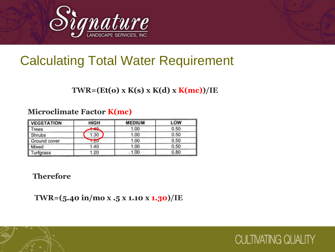

### **TWR=(Et(o) x K(s) x K(d) x K(mc))/IE**

### **Microclimate Factor K(mc)**

| <b>VEGETATION</b> | <b>HIGH</b> | <b>MEDIUM</b> | LOW  |
|-------------------|-------------|---------------|------|
| Trees             | $+40$       | 1.00          | 0.50 |
| Shrubs            | 1.30        | 1.00          | 0.50 |
| Ground cover      | 1.20        | 1.00          | 0.50 |
| Mixed             | 1.40        | 1.00          | 0.50 |
| Turfgrass         | 1.20        | 1.00          | 0.80 |

#### **Therefore**

**TWR=(5.40 in/mo x .5 x 1.10 x 1.30)/IE**

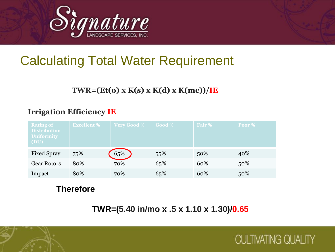

### **TWR=(Et(o) x K(s) x K(d) x K(mc))/IE**

### **Irrigation Efficiency IE**

| <b>Rating of</b><br><b>Distribution</b><br><b>Uniformity</b><br><b>(DU)</b> | <b>Excellent %</b> | <b>Very Good %</b> | Good % | Fair % | Poor % |
|-----------------------------------------------------------------------------|--------------------|--------------------|--------|--------|--------|
| <b>Fixed Spray</b>                                                          | 75%                | 65%                | 55%    | 50%    | 40%    |
| <b>Gear Rotors</b>                                                          | 80%                | 70%                | 65%    | 60%    | 50%    |
| Impact                                                                      | 80%                | 70%                | 65%    | 60%    | 50%    |

### **Therefore**

**TWR=(5.40 in/mo x .5 x 1.10 x 1.30)/0.65**



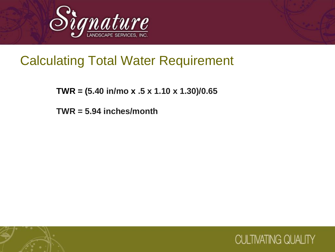

 **TWR = (5.40 in/mo x .5 x 1.10 x 1.30)/0.65**

**TWR = 5.94 inches/month**

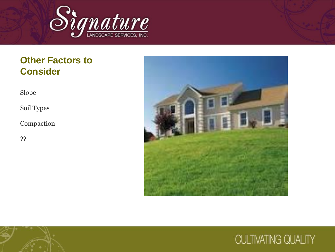

### **Other Factors to Consider**

Slope

Soil Types

Compaction

??



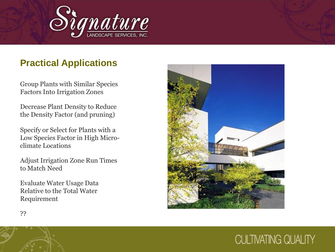

### **Practical Applications**

Group Plants with Similar Species Factors Into Irrigation Zones

Decrease Plant Density to Reduce the Density Factor (and pruning)

Specify or Select for Plants with a Low Species Factor in High Microclimate Locations

Adjust Irrigation Zone Run Times to Match Need

Evaluate Water Usage Data Relative to the Total Water Requirement



??